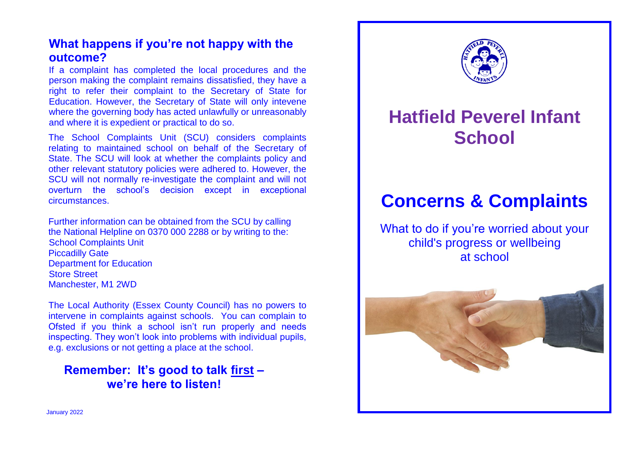## **What happens if you're not happy with the outcome?**

If a complaint has completed the local procedures and the person making the complaint remains dissatisfied, they have a right to refer their complaint to the Secretary of State for Education. However, the Secretary of State will only intevene where the governing body has acted unlawfully or unreasonably and where it is expedient or practical to do so.

The School Complaints Unit (SCU) considers complaints relating to maintained school on behalf of the Secretary of State. The SCU will look at whether the complaints policy and other relevant statutory policies were adhered to. However, the SCU will not normally re-investigate the complaint and will not overturn the school's decision except in exceptional circumstances.

Further information can be obtained from the SCU by calling the National Helpline on 0370 000 2288 or by writing to the: School Complaints Unit Piccadilly Gate Department for Education Store Street Manchester, M1 2WD

The Local Authority (Essex County Council) has no powers to intervene in complaints against schools. You can complain to Ofsted if you think a school isn't run properly and needs inspecting. They won't look into problems with individual pupils, e.g. exclusions or not getting a place at the school.

# **Remember: It's good to talk first – we're here to listen!**